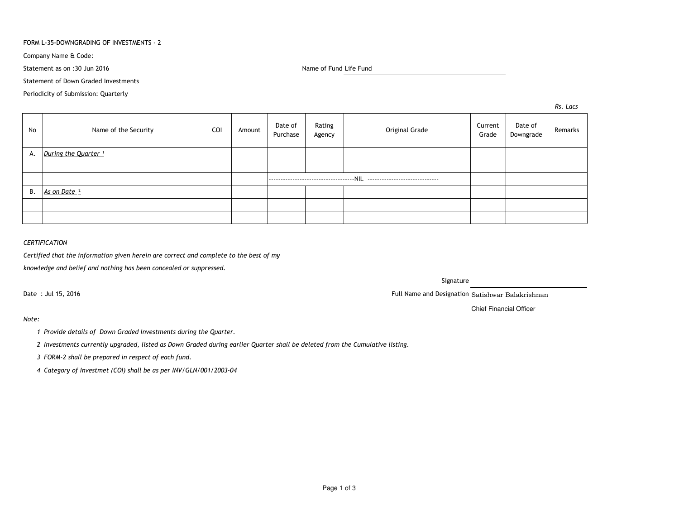### FORM L-35-DOWNGRADING OF INVESTMENTS - 2

Company Name & Code:

Statement as on :30 Jun 2016

Name of Fund Life Fund

Statement of Down Graded Investments

Periodicity of Submission: Quarterly

*Rs. Lacs*

| No | Name of the Security            | COI | Amount | Date of<br>Purchase | Rating<br>Agency | Original Grade | Current<br>Grade | Date of<br>Downgrade | Remarks |
|----|---------------------------------|-----|--------|---------------------|------------------|----------------|------------------|----------------------|---------|
| А. | During the Quarter <sup>1</sup> |     |        |                     |                  |                |                  |                      |         |
|    |                                 |     |        |                     |                  |                |                  |                      |         |
|    |                                 |     |        |                     |                  |                |                  |                      |         |
| В. | As on Date <sup>2</sup>         |     |        |                     |                  |                |                  |                      |         |
|    |                                 |     |        |                     |                  |                |                  |                      |         |
|    |                                 |     |        |                     |                  |                |                  |                      |         |

## *CERTIFICATION*

*Certified that the information given herein are correct and complete to the best of my*

*knowledge and belief and nothing has been concealed or suppressed.*

Date : Jul 15, 2016

Signature

Full Name and Designation Satishwar Balakrishnan

Chief Financial Officer

*Note:*

*<sup>1</sup> Provide details of Down Graded Investments during the Quarter.* 

*<sup>2</sup> Investments currently upgraded, listed as Down Graded during earlier Quarter shall be deleted from the Cumulative listing.*

*<sup>3</sup> FORM-2 shall be prepared in respect of each fund.*

*<sup>4</sup> Category of Investmet (COI) shall be as per INV/GLN/001/2003-04*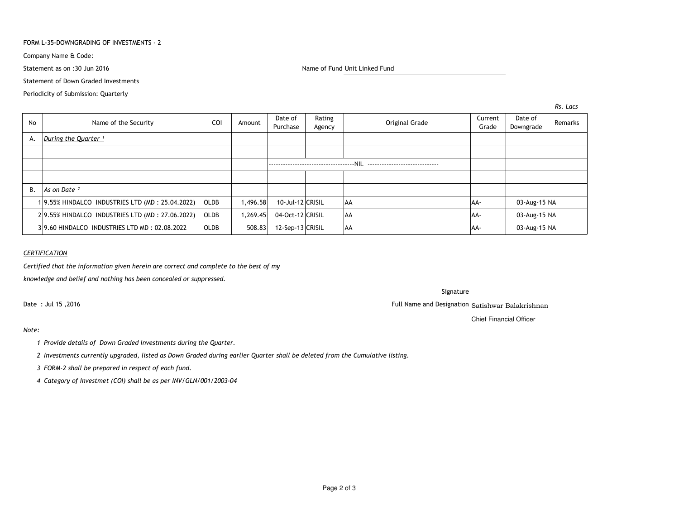### FORM L-35-DOWNGRADING OF INVESTMENTS - 2

Company Name & Code:

Statement as on :30 Jun 2016

Name of Fund Unit Linked Fund

Statement of Down Graded Investments

Periodicity of Submission: Quarterly

*Rs. Lacs*

| No | Name of the Security                            | COI         | Amount   | Date of<br>Purchase | Rating<br>Agency | Original Grade | Current<br>Grade | Date of<br>Downgrade | Remarks |
|----|-------------------------------------------------|-------------|----------|---------------------|------------------|----------------|------------------|----------------------|---------|
| А. | During the Quarter <sup>1</sup>                 |             |          |                     |                  |                |                  |                      |         |
|    |                                                 |             |          |                     |                  |                |                  |                      |         |
|    |                                                 |             |          |                     |                  |                |                  |                      |         |
|    |                                                 |             |          |                     |                  |                |                  |                      |         |
| В. | As on Date <sup>2</sup>                         |             |          |                     |                  |                |                  |                      |         |
|    | 19.55% HINDALCO INDUSTRIES LTD (MD: 25.04.2022) | <b>OLDB</b> | 1,496.58 | 10-Jul-12 CRISIL    |                  | AA             | AA-              | 03-Aug-15 NA         |         |
|    | 29.55% HINDALCO INDUSTRIES LTD (MD: 27.06.2022) | <b>OLDB</b> | 1,269.45 | 04-Oct-12 CRISIL    |                  | <b>AA</b>      | AA-              | 03-Aug-15 NA         |         |
|    | 39.60 HINDALCO INDUSTRIES LTD MD: 02.08.2022    | <b>OLDB</b> | 508.83   | 12-Sep-13 CRISIL    |                  | <b>AA</b>      | AA-              | 03-Aug-15 NA         |         |

### *CERTIFICATION*

*Certified that the information given herein are correct and complete to the best of my*

*knowledge and belief and nothing has been concealed or suppressed.*

Date : Jul 15 ,2016

## Signature

Full Name and Designation Satishwar Balakrishnan

Chief Financial Officer

# *Note:*

- *<sup>1</sup> Provide details of Down Graded Investments during the Quarter.*
- *<sup>2</sup> Investments currently upgraded, listed as Down Graded during earlier Quarter shall be deleted from the Cumulative listing.*
- *<sup>3</sup> FORM-2 shall be prepared in respect of each fund.*
- *<sup>4</sup> Category of Investmet (COI) shall be as per INV/GLN/001/2003-04*